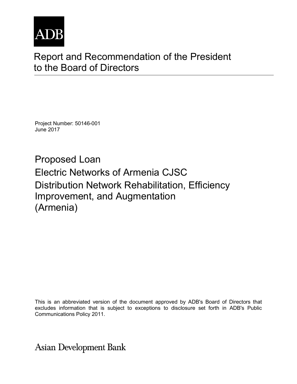

## Report and Recommendation of the President to the Board of Directors

Project Number: 50146-001 June 2017

Proposed Loan Electric Networks of Armenia CJSC Distribution Network Rehabilitation, Efficiency Improvement, and Augmentation (Armenia)

This is an abbreviated version of the document approved by ADB's Board of Directors that excludes information that is subject to exceptions to disclosure set forth in ADB's Public Communications Policy 2011.

**Asian Development Bank**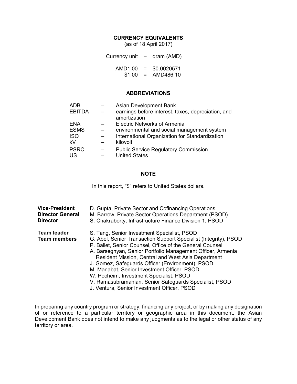#### **CURRENCY EQUIVALENTS**

(as of 18 April 2017)

| Currency unit $-$ dram (AMD) |          |             |
|------------------------------|----------|-------------|
| AMD1.00                      | $\equiv$ | \$0.0020571 |
| \$1.00                       | $\equiv$ | AMD486.10   |

#### **ABBREVIATIONS**

| <b>ADB</b>    |          | Asian Development Bank                                             |
|---------------|----------|--------------------------------------------------------------------|
| <b>EBITDA</b> | $\equiv$ | earnings before interest, taxes, depreciation, and<br>amortization |
| <b>ENA</b>    |          | <b>Electric Networks of Armenia</b>                                |
| <b>ESMS</b>   |          | environmental and social management system                         |
| <b>ISO</b>    |          | International Organization for Standardization                     |
| kV            |          | kilovolt                                                           |
| <b>PSRC</b>   |          | <b>Public Service Regulatory Commission</b>                        |
| US            |          | <b>United States</b>                                               |
|               |          |                                                                    |

#### **NOTE**

In this report, "\$" refers to United States dollars.

| <b>Vice-President</b><br><b>Director General</b><br><b>Director</b> | D. Gupta, Private Sector and Cofinancing Operations<br>M. Barrow, Private Sector Operations Department (PSOD) |  |  |  |
|---------------------------------------------------------------------|---------------------------------------------------------------------------------------------------------------|--|--|--|
|                                                                     | S. Chakraborty, Infrastructure Finance Division 1, PSOD                                                       |  |  |  |
| <b>Team leader</b>                                                  | S. Tang, Senior Investment Specialist, PSOD                                                                   |  |  |  |
| <b>Team members</b>                                                 | G. Abel, Senior Transaction Support Specialist (Integrity), PSOD                                              |  |  |  |
|                                                                     | P. Bailet, Senior Counsel, Office of the General Counsel                                                      |  |  |  |
|                                                                     | A. Barseghyan, Senior Portfolio Management Officer, Armenia                                                   |  |  |  |
|                                                                     | <b>Resident Mission, Central and West Asia Department</b>                                                     |  |  |  |
|                                                                     | J. Gomez, Safeguards Officer (Environment), PSOD                                                              |  |  |  |
|                                                                     | M. Manabat, Senior Investment Officer, PSOD                                                                   |  |  |  |
|                                                                     | W. Pocheim, Investment Specialist, PSOD                                                                       |  |  |  |
|                                                                     | V. Ramasubramanian, Senior Safeguards Specialist, PSOD                                                        |  |  |  |
|                                                                     | J. Ventura, Senior Investment Officer, PSOD                                                                   |  |  |  |

In preparing any country program or strategy, financing any project, or by making any designation of or reference to a particular territory or geographic area in this document, the Asian Development Bank does not intend to make any judgments as to the legal or other status of any territory or area.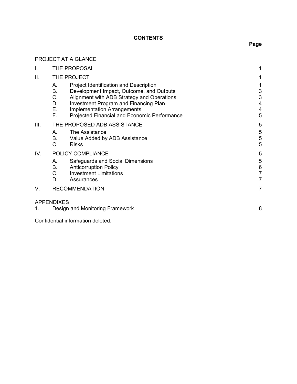## **CONTENTS**

## PROJECT AT A GLANCE

| Ι.   | THE PROPOSAL                     |                                                                                                                                                                                                                                                                        |                                               |
|------|----------------------------------|------------------------------------------------------------------------------------------------------------------------------------------------------------------------------------------------------------------------------------------------------------------------|-----------------------------------------------|
| ΙΙ.  | THE PROJECT                      |                                                                                                                                                                                                                                                                        |                                               |
|      | Α.<br>Β.<br>C.<br>D.<br>Е.<br>F. | Project Identification and Description<br>Development Impact, Outcome, and Outputs<br>Alignment with ADB Strategy and Operations<br><b>Investment Program and Financing Plan</b><br><b>Implementation Arrangements</b><br>Projected Financial and Economic Performance | 3<br>$\ensuremath{\mathsf{3}}$<br>4<br>4<br>5 |
| III. | А.<br>В.<br>C.                   | THE PROPOSED ADB ASSISTANCE<br>The Assistance<br>Value Added by ADB Assistance<br><b>Risks</b>                                                                                                                                                                         | 5<br>5<br>$\mathbf 5$<br>5                    |
| IV.  |                                  | POLICY COMPLIANCE                                                                                                                                                                                                                                                      | 5                                             |
|      | А.<br>В.<br>C.<br>D.             | Safeguards and Social Dimensions<br><b>Anticorruption Policy</b><br><b>Investment Limitations</b><br>Assurances                                                                                                                                                        | 5<br>6<br>7                                   |
| V.   |                                  | <b>RECOMMENDATION</b>                                                                                                                                                                                                                                                  | $\overline{7}$                                |
| 1.   | <b>APPENDIXES</b>                | Design and Monitoring Framework                                                                                                                                                                                                                                        | 8                                             |

Confidential information deleted.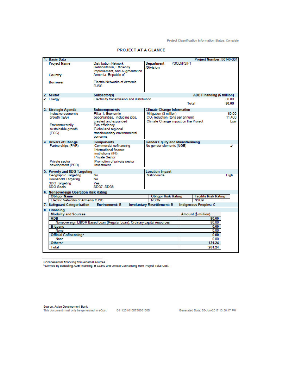| 1. Basic Data                                                            |                                                                                                |                                            |            | Project Number: 50146-001         |        |
|--------------------------------------------------------------------------|------------------------------------------------------------------------------------------------|--------------------------------------------|------------|-----------------------------------|--------|
| <b>Project Name</b>                                                      | Distribution Network<br>Rehabilitation, Efficiency                                             | <b>Department</b><br>/Division             | PSOD/PSIF1 |                                   |        |
| Country                                                                  | Improvement, and Augmentation<br>Armenia, Republic of                                          |                                            |            |                                   |        |
| <b>Borrower</b>                                                          | <b>Electric Networks of Armenia</b><br><b>CJSC</b>                                             |                                            |            |                                   |        |
| 2. Sector                                                                | Subsector(s)                                                                                   |                                            |            | <b>ADB Financing (\$ million)</b> |        |
| ✔ Energy                                                                 | Electricity transmission and distribution                                                      |                                            |            |                                   | 80.00  |
|                                                                          |                                                                                                |                                            | Total      |                                   | 80.00  |
| 3. Strategic Agenda                                                      | <b>Subcomponents</b>                                                                           | <b>Climate Change Information</b>          |            |                                   |        |
| Inclusive economic                                                       | Pillar 1: Economic                                                                             | Mitigation (\$ million)                    |            |                                   | 80.00  |
| growth (IEG)                                                             | opportunities, including jobs,                                                                 | CO <sub>2</sub> reduction (tons per annum) |            |                                   | 11,400 |
|                                                                          | created and expanded                                                                           | Climate Change impact on the Project       |            |                                   | Low    |
| Environmentally                                                          | Eco-efficiency                                                                                 |                                            |            |                                   |        |
| sustainable growth                                                       | Global and regional                                                                            |                                            |            |                                   |        |
| (ESG)                                                                    | transboundary environmental<br>concerns                                                        |                                            |            |                                   |        |
| 4. Drivers of Change                                                     | <b>Components</b>                                                                              | <b>Gender Equity and Mainstreaming</b>     |            |                                   |        |
| Partnerships (PAR)                                                       | Commercial cofinancing<br>International finance<br>institutions (IFI)<br><b>Private Sector</b> | No gender elements (NGE)                   |            |                                   | ◢      |
| Private sector<br>development (PSD)                                      | Promotion of private sector<br>investment                                                      |                                            |            |                                   |        |
| 5. Poverty and SDG Targeting                                             |                                                                                                | <b>Location Impact</b>                     |            |                                   |        |
| Geographic Targeting                                                     | <b>No</b>                                                                                      | Nation-wide                                |            |                                   | High   |
| <b>Household Targeting</b>                                               | No                                                                                             |                                            |            |                                   |        |
| <b>SDG Targeting</b><br><b>SDG Goals</b>                                 | Yes<br>SDG7, SDG8                                                                              |                                            |            |                                   |        |
| 6. Nonsovereign Operation Risk Rating                                    |                                                                                                |                                            |            |                                   |        |
| <b>Obligor Name</b>                                                      |                                                                                                | <b>Obligor Risk Rating</b>                 |            | <b>Facility Risk Rating</b>       |        |
| Electric Networks of Armenia CJSC                                        |                                                                                                | NSO <sub>9</sub>                           |            | NSO <sub>9</sub>                  |        |
| 7. Safeguard Categorization                                              | <b>Environment: B</b>                                                                          | <b>Involuntary Resettlement: B</b>         |            | <b>Indigenous Peoples: C</b>      |        |
| 8. Financing                                                             |                                                                                                |                                            |            |                                   |        |
| <b>Modality and Sources</b>                                              |                                                                                                |                                            |            | Amount (\$ million)               |        |
| <b>ADB</b>                                                               |                                                                                                |                                            |            | 80.00                             |        |
| Nonsovereign LIBOR Based Loan (Regular Loan): Ordinary capital resources |                                                                                                |                                            |            | 80.00                             |        |
| <b>B-Loans</b>                                                           |                                                                                                |                                            |            | 0.00                              |        |
| None                                                                     |                                                                                                |                                            |            | 0.00                              |        |
| Official Cofinancing*                                                    |                                                                                                |                                            |            | 0.00                              |        |
| None                                                                     |                                                                                                |                                            |            | 0.00                              |        |
| Others <sup>b</sup>                                                      |                                                                                                |                                            |            | 121.24                            |        |
| <b>Total</b>                                                             |                                                                                                |                                            |            | 201.24                            |        |
|                                                                          |                                                                                                |                                            |            |                                   |        |

#### PROJECT AT A GLANCE

\* Concessional financing from external sources.<br><sup>b</sup> Derived by deducting ADB financing, B Loans and Official Cofinancing from Project Total Cost.

Source: Asian Development Bank<br>This document must only be generated in eOps. [64112016100750661588] [68] Generated Date: 05-Jun-2017 13:56:47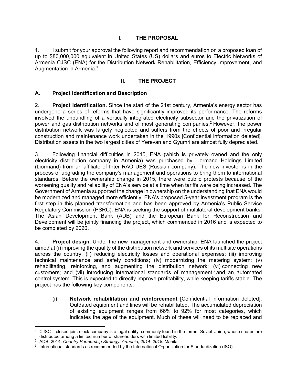## **I. THE PROPOSAL**

1. I submit for your approval the following report and recommendation on a proposed loan of up to \$80,000,000 equivalent in United States (US) dollars and euros to Electric Networks of Armenia CJSC (ENA) for the Distribution Network Rehabilitation, Efficiency Improvement, and Augmentation in Armenia.<sup>1</sup>

## **II. THE PROJECT**

## **A. Project Identification and Description**

2. **Project identification.** Since the start of the 21st century, Armenia's energy sector has undergone a series of reforms that have significantly improved its performance. The reforms involved the unbundling of a vertically integrated electricity subsector and the privatization of power and gas distribution networks and of most generating companies.<sup>2</sup> However, the power distribution network was largely neglected and suffers from the effects of poor and irregular construction and maintenance work undertaken in the 1990s [Confidential information deleted]. Distribution assets in the two largest cities of Yerevan and Gyumri are almost fully depreciated.

3. Following financial difficulties in 2015, ENA (which is privately owned and the only electricity distribution company in Armenia) was purchased by Liormand Holdings Limited (Liormand) from an affiliate of Inter RAO UES (Russian company). The new investor is in the process of upgrading the company's management and operations to bring them to international standards. Before the ownership change in 2015, there were public protests because of the worsening quality and reliability of ENA's service at a time when tariffs were being increased. The Government of Armenia supported the change in ownership on the understanding that ENA would be modernized and managed more efficiently. ENA's proposed 5-year investment program is the first step in this planned transformation and has been approved by Armenia's Public Service Regulatory Commission (PSRC). ENA is seeking the support of multilateral development banks. The Asian Development Bank (ADB) and the European Bank for Reconstruction and Development will be jointly financing the project, which commenced in 2016 and is expected to be completed by 2020.

4. **Project design**. Under the new management and ownership, ENA launched the project aimed at (i) improving the quality of the distribution network and services of its multisite operations across the country; (ii) reducing electricity losses and operational expenses; (iii) improving technical maintenance and safety conditions; (iv) modernizing the metering system; (v) rehabilitating, reinforcing, and augmenting the distribution network; (vi) connecting new customers; and (vii) introducing international standards of management<sup>3</sup> and an automated control system. This is expected to directly improve profitability, while keeping tariffs stable. The project has the following key components:

(i) **Network rehabilitation and reinforcement** [Confidential information deleted]. Outdated equipment and lines will be rehabilitated. The accumulated depreciation of existing equipment ranges from 66% to 92% for most categories, which indicates the age of the equipment. Much of these will need to be replaced and

<sup>-</sup>1 CJSC = closed joint stock company is a legal entity, commonly found in the former Soviet Union, whose shares are distributed among a limited number of shareholders with limited liability.

<sup>2</sup> ADB. 2014. *Country Partnership Strategy: Armenia, 2014–2018.* Manila.

<sup>3</sup> International standards as recommended by the International Organization for Standardization (ISO).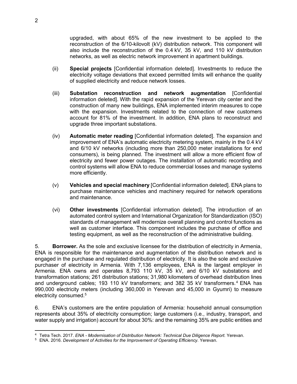upgraded, with about 65% of the new investment to be applied to the reconstruction of the 6/10-kilovolt (kV) distribution network. This component will also include the reconstruction of the 0.4 kV, 35 kV, and 110 kV distribution networks, as well as electric network improvement in apartment buildings.

- (ii) **Special projects** [Confidential information deleted]. Investments to reduce the electricity voltage deviations that exceed permitted limits will enhance the quality of supplied electricity and reduce network losses.
- (iii) **Substation reconstruction and network augmentation** [Confidential information deleted]. With the rapid expansion of the Yerevan city center and the construction of many new buildings, ENA implemented interim measures to cope with the expansion. Investments related to the connection of new customers account for 81% of the investment. In addition, ENA plans to reconstruct and upgrade three important substations.
- (iv) **Automatic meter reading** [Confidential information deleted]. The expansion and improvement of ENA's automatic electricity metering system, mainly in the 0.4 kV and 6/10 kV networks (including more than 250,000 meter installations for end consumers), is being planned. The investment will allow a more efficient flow of electricity and fewer power outages. The installation of automatic recording and control systems will allow ENA to reduce commercial losses and manage systems more efficiently.
- (v) **Vehicles and special machinery** [Confidential information deleted]. ENA plans to purchase maintenance vehicles and machinery required for network operations and maintenance.
- (vi) **Other investments** [Confidential information deleted]. The introduction of an automated control system and International Organization for Standardization (ISO) standards of management will modernize overall planning and control functions as well as customer interface. This component includes the purchase of office and testing equipment, as well as the reconstruction of the administrative building.

5. **Borrower.** As the sole and exclusive licensee for the distribution of electricity in Armenia, ENA is responsible for the maintenance and augmentation of the distribution network and is engaged in the purchase and regulated distribution of electricity. It is also the sole and exclusive purchaser of electricity in Armenia. With 7,136 employees, ENA is the largest employer in Armenia. ENA owns and operates 8,793 110 kV, 35 kV, and 6/10 kV substations and transformation stations; 261 distribution stations; 31,980 kilometers of overhead distribution lines and underground cables; 193 110 kV transformers; and 382 35 kV transformers.<sup>4</sup> ENA has 990,000 electricity meters (including 360,000 in Yerevan and 45,000 in Gyumri) to measure electricity consumed.<sup>5</sup>

6. ENA's customers are the entire population of Armenia: household annual consumption represents about 35% of electricity consumption; large customers (i.e., industry, transport, and water supply and irrigation) account for about 30%: and the remaining 35% are public entities and

 4 Tetra Tech. 2017. *ENA - Modernisation of Distribution Network: Technical Due Diligence Report.* Yerevan.

<sup>&</sup>lt;sup>5</sup> ENA. 2016. *Development of Activities for the Improvement of Operating Efficiency. Yerevan.*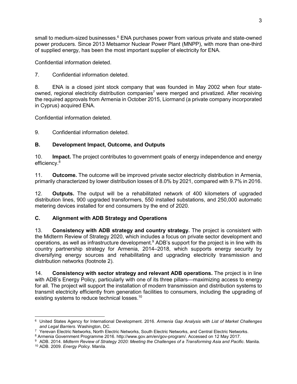small to medium-sized businesses.<sup>6</sup> ENA purchases power from various private and state-owned power producers. Since 2013 Metsamor Nuclear Power Plant (MNPP), with more than one-third of supplied energy, has been the most important supplier of electricity for ENA.

Confidential information deleted.

7. Confidential information deleted.

8. ENA is a closed joint stock company that was founded in May 2002 when four stateowned, regional electricity distribution companies<sup>7</sup> were merged and privatized. After receiving the required approvals from Armenia in October 2015, Liormand (a private company incorporated in Cyprus) acquired ENA.

Confidential information deleted.

9. Confidential information deleted.

## **B. Development Impact, Outcome, and Outputs**

10. **Impact.** The project contributes to government goals of energy independence and energy efficiency.<sup>8</sup>

11. **Outcome.** The outcome will be improved private sector electricity distribution in Armenia, primarily characterized by lower distribution losses of 8.0% by 2021, compared with 9.7% in 2016.

12. **Outputs.** The output will be a rehabilitated network of 400 kilometers of upgraded distribution lines, 900 upgraded transformers, 550 installed substations, and 250,000 automatic metering devices installed for end consumers by the end of 2020.

## **C. Alignment with ADB Strategy and Operations**

13. **Consistency with ADB strategy and country strategy.** The project is consistent with the Midterm Review of Strategy 2020, which includes a focus on private sector development and operations, as well as infrastructure development.<sup>9</sup> ADB's support for the project is in line with its country partnership strategy for Armenia, 2014–2018, which supports energy security by diversifying energy sources and rehabilitating and upgrading electricity transmission and distribution networks (footnote 2).

14. **Consistency with sector strategy and relevant ADB operations.** The project is in line with ADB's Energy Policy, particularly with one of its three pillars—maximizing access to energy for all. The project will support the installation of modern transmission and distribution systems to transmit electricity efficiently from generation facilities to consumers, including the upgrading of existing systems to reduce technical losses.<sup>10</sup>

<sup>-</sup>6 United States Agency for International Development. 2016. *Armenia Gap Analysis with List of Market Challenges and Legal Barriers.* Washington, DC.

<sup>7</sup> Yerevan Electric Networks, North Electric Networks, South Electric Networks, and Central Electric Networks.

<sup>8</sup> Armenia Government Programme 2016. http://www.gov.am/en/gov-program/. Accessed on 12 May 2017.

<sup>9</sup> ADB. 2014. *Midterm Review of Strategy 2020: Meeting the Challenges of a Transforming Asia and Pacific*. Manila.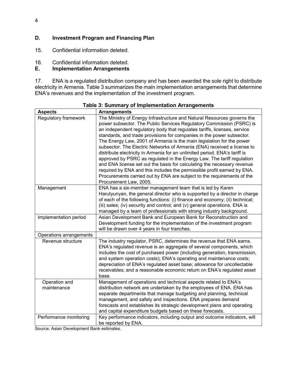## **D. Investment Program and Financing Plan**

15. Confidential information deleted.

# 16. Confidential information deleted.<br>**E.** Implementation Arrangements

## **Implementation Arrangements**

17. ENA is a regulated distribution company and has been awarded the sole right to distribute electricity in Armenia. Table 3 summarizes the main implementation arrangements that determine ENA's revenues and the implementation of the investment program.

| <b>Aspects</b>                           | <b>Arrangements</b>                                                                                                                                                                                                                                                                                                                                                                                                                                                                                                                                                                                                                                                                                                                                                                                                                                                        |
|------------------------------------------|----------------------------------------------------------------------------------------------------------------------------------------------------------------------------------------------------------------------------------------------------------------------------------------------------------------------------------------------------------------------------------------------------------------------------------------------------------------------------------------------------------------------------------------------------------------------------------------------------------------------------------------------------------------------------------------------------------------------------------------------------------------------------------------------------------------------------------------------------------------------------|
| Regulatory framework                     | The Ministry of Energy Infrastructure and Natural Resources governs the<br>power subsector. The Public Services Regulatory Commission (PSRC) is<br>an independent regulatory body that regulates tariffs, licenses, service<br>standards, and trade provisions for companies in the power subsector.<br>The Energy Law, 2001 of Armenia is the main legislation for the power<br>subsector. The Electric Networks of Armenia (ENA) received a license to<br>distribute electricity in Armenia for an unlimited period. ENA's tariff is<br>approved by PSRC as regulated in the Energy Law. The tariff regulation<br>and ENA license set out the basis for calculating the necessary revenue<br>required by ENA and this includes the permissible profit earned by ENA.<br>Procurements carried out by ENA are subject to the requirements of the<br>Procurement Law, 2005. |
| Management                               | ENA has a six-member management team that is led by Karen<br>Harutyunyan, the general director who is supported by a director in charge<br>of each of the following functions: (i) finance and economy; (ii) technical;<br>(iii) sales; (iv) security and control; and (v) general operations. ENA is<br>managed by a team of professionals with strong industry background.                                                                                                                                                                                                                                                                                                                                                                                                                                                                                               |
| Implementation period                    | Asian Development Bank and European Bank for Reconstruction and<br>Development funding for the implementation of the investment program<br>will be drawn over 4 years in four tranches.                                                                                                                                                                                                                                                                                                                                                                                                                                                                                                                                                                                                                                                                                    |
| Operations arrangements                  |                                                                                                                                                                                                                                                                                                                                                                                                                                                                                                                                                                                                                                                                                                                                                                                                                                                                            |
| Revenue structure                        | The industry regulator, PSRC, determines the revenue that ENA earns.<br>ENA's regulated revenue is an aggregate of several components, which<br>includes the cost of purchased power (including generation, transmission,<br>and system operation costs); ENA's operating and maintenance costs;<br>depreciation of ENA's regulated asset base; allowance for uncollectable<br>receivables; and a reasonable economic return on ENA's regulated asset<br>base.                                                                                                                                                                                                                                                                                                                                                                                                             |
| Operation and<br>maintenance             | Management of operations and technical aspects related to ENA's<br>distribution network are undertaken by the employees of ENA. ENA has<br>separate departments that manage budgeting and planning, technical<br>management, and safety and inspections. ENA prepares demand<br>forecasts and establishes its strategic development plans and operating<br>and capital expenditure budgets based on these forecasts.                                                                                                                                                                                                                                                                                                                                                                                                                                                       |
| Performance monitoring<br>$\overline{1}$ | Key performance indicators, including output and outcome indicators, will<br>be reported by ENA.                                                                                                                                                                                                                                                                                                                                                                                                                                                                                                                                                                                                                                                                                                                                                                           |

**Table 3: Summary of Implementation Arrangements** 

Source: Asian Development Bank estimates.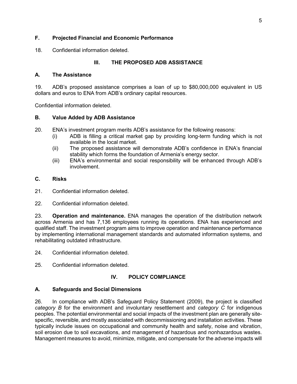## **F. Projected Financial and Economic Performance**

18. Confidential information deleted.

## **III. THE PROPOSED ADB ASSISTANCE**

#### **A. The Assistance**

19. ADB's proposed assistance comprises a loan of up to \$80,000,000 equivalent in US dollars and euros to ENA from ADB's ordinary capital resources.

Confidential information deleted.

#### **B. Value Added by ADB Assistance**

- 20. ENA's investment program merits ADB's assistance for the following reasons:
	- (i) ADB is filling a critical market gap by providing long-term funding which is not available in the local market.
	- (ii) The proposed assistance will demonstrate ADB's confidence in ENA's financial stability which forms the foundation of Armenia's energy sector.
	- (iii) ENA's environmental and social responsibility will be enhanced through ADB's involvement.

#### **C. Risks**

- 21. Confidential information deleted.
- 22. Confidential information deleted.

23. **Operation and maintenance.** ENA manages the operation of the distribution network across Armenia and has 7,136 employees running its operations. ENA has experienced and qualified staff. The investment program aims to improve operation and maintenance performance by implementing international management standards and automated information systems, and rehabilitating outdated infrastructure.

24. Confidential information deleted.

25. Confidential information deleted.

#### **IV. POLICY COMPLIANCE**

#### **A. Safeguards and Social Dimensions**

26. In compliance with ADB's Safeguard Policy Statement (2009), the project is classified *category B* for the environment and involuntary resettlement and *category C* for indigenous peoples. The potential environmental and social impacts of the investment plan are generally sitespecific, reversible, and mostly associated with decommissioning and installation activities. These typically include issues on occupational and community health and safety, noise and vibration, soil erosion due to soil excavations, and management of hazardous and nonhazardous wastes. Management measures to avoid, minimize, mitigate, and compensate for the adverse impacts will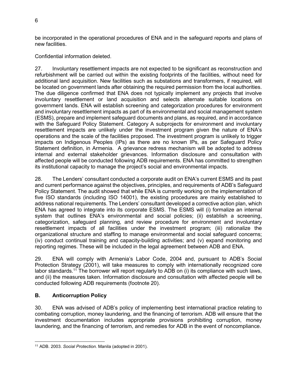be incorporated in the operational procedures of ENA and in the safeguard reports and plans of new facilities.

Confidential information deleted.

27. Involuntary resettlement impacts are not expected to be significant as reconstruction and refurbishment will be carried out within the existing footprints of the facilities, without need for additional land acquisition. New facilities such as substations and transformers, if required, will be located on government lands after obtaining the required permission from the local authorities. The due diligence confirmed that ENA does not typically implement any projects that involve involuntary resettlement or land acquisition and selects alternate suitable locations on government lands. ENA will establish screening and categorization procedures for environment and involuntary resettlement impacts as part of its environmental and social management system (ESMS), prepare and implement safeguard documents and plans, as required, and in accordance with the Safeguard Policy Statement. Category A subprojects for environment and involuntary resettlement impacts are unlikely under the investment program given the nature of ENA's operations and the scale of the facilities proposed. The investment program is unlikely to trigger impacts on Indigenous Peoples (IPs) as there are no known IPs, as per Safeguard Policy Statement definition, in Armenia. A grievance redress mechanism will be adopted to address internal and external stakeholder grievances. Information disclosure and consultation with affected people will be conducted following ADB requirements. ENA has committed to strengthen its institutional capacity to manage the project's social and environmental impacts.

28. The Lenders' consultant conducted a corporate audit on ENA's current ESMS and its past and current performance against the objectives, principles, and requirements of ADB's Safeguard Policy Statement. The audit showed that while ENA is currently working on the implementation of five ISO standards (including ISO 14001), the existing procedures are mainly established to address national requirements. The Lenders' consultant developed a corrective action plan, which ENA has agreed to integrate into its corporate ESMS. The ESMS will (i) formalize an internal system that outlines ENA's environmental and social policies; (ii) establish a screening, categorization, safeguard planning, and review procedure for environment and involuntary resettlement impacts of all facilities under the investment program; (iii) rationalize the organizational structure and staffing to manage environmental and social safeguard concerns; (iv) conduct continual training and capacity-building activities; and (v) expand monitoring and reporting regimes. These will be included in the legal agreement between ADB and ENA.

29. ENA will comply with Armenia's Labor Code, 2004 and, pursuant to ADB's Social Protection Strategy (2001), will take measures to comply with internationally recognized core labor standards.<sup>11</sup> The borrower will report regularly to ADB on (i) its compliance with such laws, and (ii) the measures taken. Information disclosure and consultation with affected people will be conducted following ADB requirements (footnote 20).

## **B. Anticorruption Policy**

30. ENA was advised of ADB's policy of implementing best international practice relating to combating corruption, money laundering, and the financing of terrorism. ADB will ensure that the investment documentation includes appropriate provisions prohibiting corruption, money laundering, and the financing of terrorism, and remedies for ADB in the event of noncompliance.

 11 ADB. 2003. *Social Protection.* Manila (adopted in 2001).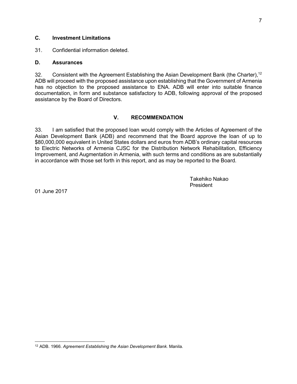#### **C. Investment Limitations**

31. Confidential information deleted.

#### **D. Assurances**

32. Consistent with the Agreement Establishing the Asian Development Bank (the Charter),<sup>12</sup> ADB will proceed with the proposed assistance upon establishing that the Government of Armenia has no objection to the proposed assistance to ENA. ADB will enter into suitable finance documentation, in form and substance satisfactory to ADB, following approval of the proposed assistance by the Board of Directors.

## **V. RECOMMENDATION**

33. I am satisfied that the proposed loan would comply with the Articles of Agreement of the Asian Development Bank (ADB) and recommend that the Board approve the loan of up to \$80,000,000 equivalent in United States dollars and euros from ADB's ordinary capital resources to Electric Networks of Armenia CJSC for the Distribution Network Rehabilitation, Efficiency Improvement, and Augmentation in Armenia, with such terms and conditions as are substantially in accordance with those set forth in this report, and as may be reported to the Board.

> Takehiko Nakao President

01 June 2017

 12 ADB. 1966. *Agreement Establishing the Asian Development Bank.* Manila.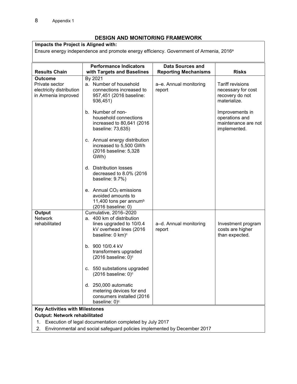## **DESIGN AND MONITORING FRAMEWORK**

**Impacts the Project is Aligned with:** 

Ensure energy independence and promote energy efficiency. Government of Armenia, 2016<sup>a</sup>

|                                                                                     | <b>Performance Indicators</b>                                                                                                             | <b>Data Sources and</b>          |                                                                                  |  |  |  |
|-------------------------------------------------------------------------------------|-------------------------------------------------------------------------------------------------------------------------------------------|----------------------------------|----------------------------------------------------------------------------------|--|--|--|
| <b>Results Chain</b>                                                                | with Targets and Baselines                                                                                                                | <b>Reporting Mechanisms</b>      | <b>Risks</b>                                                                     |  |  |  |
| <b>Outcome</b><br>Private sector<br>electricity distribution<br>in Armenia improved | By 2021<br>a. Number of household<br>connections increased to<br>957,451 (2016 baseline:<br>936,451)                                      | a-e. Annual monitoring<br>report | <b>Tariff revisions</b><br>necessary for cost<br>recovery do not<br>materialize. |  |  |  |
|                                                                                     | b. Number of non-<br>household connections<br>increased to 80,641 (2016)<br>baseline: 73,635)                                             |                                  | Improvements in<br>operations and<br>maintenance are not<br>implemented.         |  |  |  |
|                                                                                     | c. Annual energy distribution<br>increased to 5,500 GWh<br>(2016 baseline: 5,328<br>GWh)                                                  |                                  |                                                                                  |  |  |  |
|                                                                                     | d. Distribution losses<br>decreased to 8.0% (2016)<br>baseline: 9.7%)                                                                     |                                  |                                                                                  |  |  |  |
|                                                                                     | e. Annual CO <sub>2</sub> emissions<br>avoided amounts to<br>11,400 tons per annum <sup>b</sup><br>(2016 baseline: 0)                     |                                  |                                                                                  |  |  |  |
| Output<br><b>Network</b><br>rehabilitated                                           | Cumulative, 2016-2020<br>a. 400 km of distribution<br>lines upgraded to 10/0.4<br>kV overhead lines (2016<br>baseline: 0 km) <sup>c</sup> | a-d. Annual monitoring<br>report | Investment program<br>costs are higher<br>than expected.                         |  |  |  |
|                                                                                     | b. 900 10/0.4 kV<br>transformers upgraded<br>$(2016)$ baseline: 0) $\textdegree$                                                          |                                  |                                                                                  |  |  |  |
|                                                                                     | c. 550 substations upgraded<br>$(2016)$ baseline: 0) $\circ$                                                                              |                                  |                                                                                  |  |  |  |
|                                                                                     | d. 250,000 automatic<br>metering devices for end<br>consumers installed (2016<br>baseline: 0) <sup>c</sup>                                |                                  |                                                                                  |  |  |  |
|                                                                                     | <b>Key Activities with Milestones</b>                                                                                                     |                                  |                                                                                  |  |  |  |
| <b>Output: Network rehabilitated</b>                                                |                                                                                                                                           |                                  |                                                                                  |  |  |  |
| Execution of legal documentation completed by July 2017<br>1.                       |                                                                                                                                           |                                  |                                                                                  |  |  |  |
| Environmental and social safeguard policies implemented by December 2017<br>2.      |                                                                                                                                           |                                  |                                                                                  |  |  |  |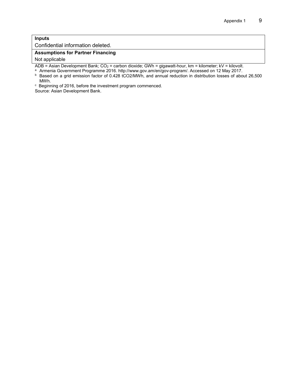#### **Inputs**

Confidential information deleted.

#### **Assumptions for Partner Financing**

Not applicable

ADB = Asian Development Bank; CO<sub>2</sub> = carbon dioxide; GWh = gigawatt-hour, km = kilometer; kV = kilovolt.

<sup>a</sup> Armenia Government Programme 2016. http://www.gov.am/en/gov-program/. Accessed on 12 May 2017.

b Based on a grid emission factor of 0.428 tCO2/MWh, and annual reduction in distribution losses of about 26,500 MWh.

c Beginning of 2016, before the investment program commenced.

Source: Asian Development Bank.